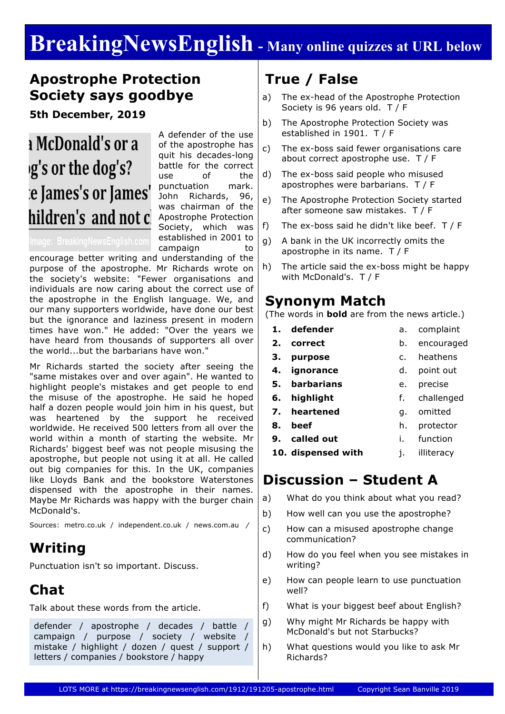# **BreakingNewsEnglish - Many online quizzes at URL below**

#### **Apostrophe Protection Society says goodbye**

**5th December, 2019**

### a McDonald's or a g's or the dog's? e James's or James' hildren's and not cl

A defender of the use of the apostrophe has quit his decades-long battle for the correct use of the punctuation mark. John Richards, 96, was chairman of the Apostrophe Protection Society, which was established in 2001 to campaign to

encourage better writing and understanding of the purpose of the apostrophe. Mr Richards wrote on the society's website: "Fewer organisations and individuals are now caring about the correct use of the apostrophe in the English language. We, and our many supporters worldwide, have done our best but the ignorance and laziness present in modern times have won." He added: "Over the years we have heard from thousands of supporters all over the world...but the barbarians have won."

Mr Richards started the society after seeing the "same mistakes over and over again". He wanted to highlight people's mistakes and get people to end the misuse of the apostrophe. He said he hoped half a dozen people would join him in his quest, but was heartened by the support he received worldwide. He received 500 letters from all over the world within a month of starting the website. Mr Richards' biggest beef was not people misusing the apostrophe, but people not using it at all. He called out big companies for this. In the UK, companies like Lloyds Bank and the bookstore Waterstones dispensed with the apostrophe in their names. Maybe Mr Richards was happy with the burger chain McDonald's.

Sources: metro.co.uk / independent.co.uk / news.com.au */*

#### **Writing**

Punctuation isn't so important. Discuss.

### **Chat**

Talk about these words from the article.

defender / apostrophe / decades / battle / campaign / purpose / society / website mistake / highlight / dozen / quest / support / letters / companies / bookstore / happy

#### **True / False**

- a) The ex-head of the Apostrophe Protection Society is 96 years old. T / F
- b) The Apostrophe Protection Society was established in 1901. T / F
- c) The ex-boss said fewer organisations care about correct apostrophe use. T / F
- d) The ex-boss said people who misused apostrophes were barbarians. T / F
- e) The Apostrophe Protection Society started after someone saw mistakes. T / F
- f) The ex-boss said he didn't like beef.  $T / F$
- g) A bank in the UK incorrectly omits the apostrophe in its name. T / F
- h) The article said the ex-boss might be happy with McDonald's. T / F

#### **Synonym Match**

(The words in **bold** are from the news article.)

- **1. defender**
- **2. correct**
- a. complaint b. encouraged
- **3. purpose**
	-
- **4. ignorance**
- **5. barbarians** e. precise
- **6. highlight** f. challenged
- **7. heartened** g. omitted
- **8. beef**
- **9. called out** i. function
- **10. dispensed with** j. illiteracy

#### **Discussion – Student A**

- a) What do you think about what you read?
- b) How well can you use the apostrophe?
- c) How can a misused apostrophe change communication?
- d) How do you feel when you see mistakes in writing?
- e) How can people learn to use punctuation well?
- f) What is your biggest beef about English?
- g) Why might Mr Richards be happy with McDonald's but not Starbucks?
- h) What questions would you like to ask Mr Richards?

c. heathens d. point out

h. protector